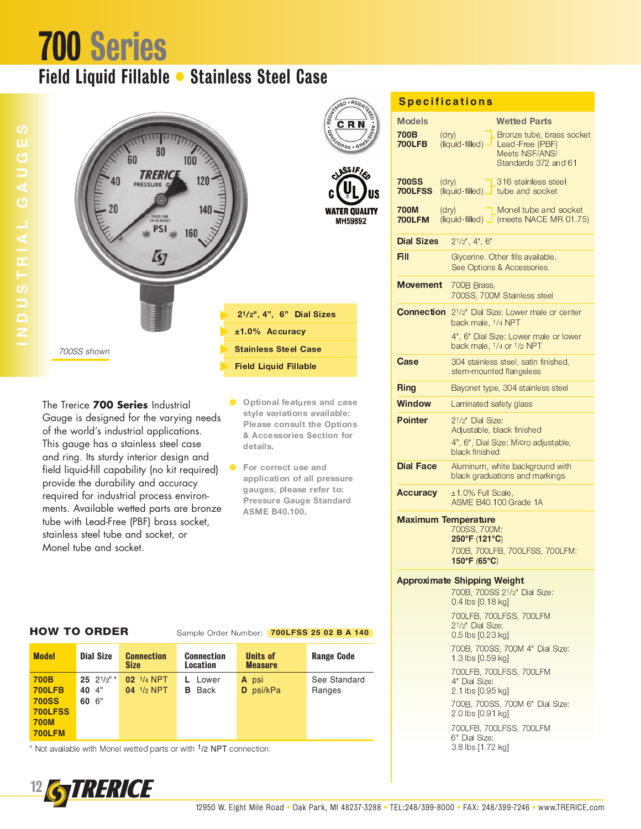## **700 Series**

### Field Liquid Fillable • Stainless Steel Case



The Trerice 700 Series Industrial Gauge is designed for the varying needs of the world's industrial applications. This gauge has a stainless steel case and ring. Its sturdy interior design and field liquid-fill capability (no kit required) provide the durability and accuracy required for industrial process environments. Available wetted parts are bronze tube with Lead-Free (PBF) brass socket, stainless steel tube and socket, or Monel tube and socket.

- Optional features and case style variations available: Please consult the Options & Accessories Section for details.
- For correct use and application of all pressure gauges, please refer to: **Pressure Gauge Standard ASME B40.100.**

| <b>Specifications</b> |  |  |  |  |  |  |  |
|-----------------------|--|--|--|--|--|--|--|
|                       |  |  |  |  |  |  |  |
|                       |  |  |  |  |  |  |  |

|                                | <u>Specifications</u>                                                                                    |
|--------------------------------|----------------------------------------------------------------------------------------------------------|
| <b>Models</b><br>700B          | <b>Wetted Parts</b><br>$(d\nu)$<br>Bronze tube, brass socket                                             |
| 700LFB                         | (liquid-filled) -<br>Lead-Free (PBF)<br><b>Meets NSF/ANSI</b><br>Standards 372 and 61                    |
| <b>700SS</b><br><b>700LFSS</b> | (dry)<br>316 stainless steel<br>$(liquid$ -filled) $\perp$ tube and socket                               |
| 700M<br><b>700LFM</b>          | (dry)<br>Monel tube and socket<br>(liquid-filled) [ (meets NACE MR 01.75)                                |
| <b>Dial Sizes</b>              | $2^{1/2}$ ", 4", 6"                                                                                      |
| Fill                           | Glycerine. Other fills available.<br>See Options & Accessories.                                          |
| Movement                       | 700B Brass,<br>700SS, 700M Stainless steel                                                               |
| <b>Connection</b>              | 2 <sup>1</sup> / <sub>2</sub> " Dial Size: Lower male or center<br>back male, 1/4 NPT                    |
|                                | 4", 6" Dial Size: Lower male or lower<br>back male, 1/4 or 1/2 NPT                                       |
| Case                           | 304 stainless steel, satin finished,<br>stem-mounted flangeless                                          |
| <b>Ring</b>                    | Bayonet type, 304 stainless steel                                                                        |
| Window                         | Laminated safety glass                                                                                   |
| <b>Pointer</b>                 | 21/2" Dial Size:<br>Adjustable, black finished<br>4", 6", Dial Size: Micro adjustable,<br>black finished |
| <b>Dial Face</b>               | Aluminum, white background with<br>black graduations and markings                                        |
| <b>Accuracy</b>                | ±1.0% Full Scale,<br>ASME B40,100 Grade 1A                                                               |
|                                | <b>Maximum Temperature</b><br>700SS, 700M:<br>250°F (121°C)                                              |
|                                | 700B, 700LFB, 700LFSS, 700LFM:<br>150°F (65°C)                                                           |
|                                | <b>Approximate Shipping Weight</b><br>700B, 700SS 21/2" Dial Size:<br>0.4 lbs [0.18 kg]                  |
|                                | 700LFB, 700LFSS, 700LFM<br>21/2" Dial Size:                                                              |
|                                | 0.5 lbs [0.23 kg]<br>700B, 700SS, 700M 4" Dial Size:                                                     |
|                                | 1.3 lbs [0.59 kg]<br>700LFB, 700LFSS, 700LFM                                                             |
|                                | 4" Dial Size:<br>2.1 lbs [0.95 kg]                                                                       |
|                                | 700B, 700SS, 700M 6" Dial Size:<br>2.0 lbs [0.91 kg]                                                     |
|                                | 700LFB, 700LFSS, 700LFM<br>6" Dial Size:<br>3.8 lbs [1.72 kg]                                            |
|                                |                                                                                                          |

#### **HOW TO ORDER**

#### Sample Order Number: 700LFSS 25 02 B A 140

| 25 $21/2"$<br><b>700B</b><br>02 1/4 NPT<br>See Standard<br>L Lower<br>A psi<br><b>700LFB</b><br>$04$ $1/2$ NPT<br>40 4"<br><b>B</b> Back<br>D psi/kPa<br>Ranges<br><b>700SS</b><br>60 6"<br><b>700LFSS</b><br><b>700M</b><br><b>700LFM</b> | <b>Model</b> | <b>Dial Size</b> | <b>Connection</b><br><b>Size</b> | <b>Connection</b><br><b>Location</b> | <b>Units of</b><br><b>Measure</b> | <b>Range Code</b> |
|--------------------------------------------------------------------------------------------------------------------------------------------------------------------------------------------------------------------------------------------|--------------|------------------|----------------------------------|--------------------------------------|-----------------------------------|-------------------|
|                                                                                                                                                                                                                                            |              |                  |                                  |                                      |                                   |                   |

\* Not available with Monel wetted parts or with <sup>1</sup>/2 NPT connection.